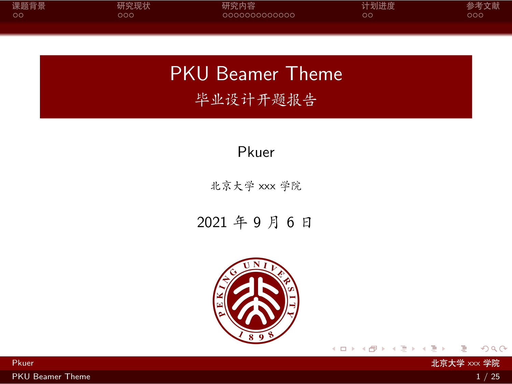<span id="page-0-0"></span>

| 课题背景 | 研究现状 | 研究内容          | 计划进度 | 参考文献 |
|------|------|---------------|------|------|
| - ററ | ೦೦   | 0000000000000 | OΟ   | ೦೦೦  |
|      |      |               |      |      |

PKU Beamer Theme 毕业设计开题报告

Pkuer

北京大学 xxx 学院

2021 年 9 月 6 日



 $\rightarrow +\frac{1}{2}$ 

 $\Box \rightarrow \neg \leftarrow \overline{\partial} \rightarrow \neg \leftarrow \overline{\exists}$ 

[PKU Beamer Theme](#page-28-0) 2012 12:00 12:00 12:00 12:00 12:00 12:00 12:00 12:00 12:00 12:00 12:00 12:00 12:00 12:00 12:00 12:00 12:00 12:00 12:00 12:00 12:00 12:00 12:00 12:00 12:00 12:00 12:00 12:00 12:00 12:00 12:00 12:00 12:00 12

 $2Q$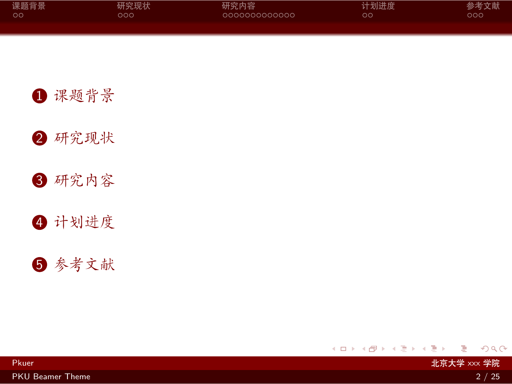<span id="page-1-0"></span>

| 课题背景 | 研究现状 | 研究内容          | 计划进度 | 参考文献 |
|------|------|---------------|------|------|
| ം റ  | റററ  | COOOOOOOOOOOO | OΟ   | ೦೦೦  |
|      |      |               |      |      |

1 [课题背景](#page-2-0)

2 [研究现状](#page-7-0)

3 [研究内容](#page-10-0)

4 [计划进度](#page-24-0)

5 [参考文献](#page-26-0)

. [.](#page-0-0) . [.](#page-2-0) . [.](#page-0-0) . [.](#page-1-0) . [.](#page-1-0) . [.](#page-2-0) . [.](#page-0-0) . [.](#page-0-0) . [.](#page-1-0) . [.](#page-2-0) . . . [.](#page-0-0) . [.](#page-0-0) . [.](#page-28-0)  $2Q$ 

Pkuer 北京大学 xxx 学院

[PKU Beamer Theme](#page-0-0) 2 / 25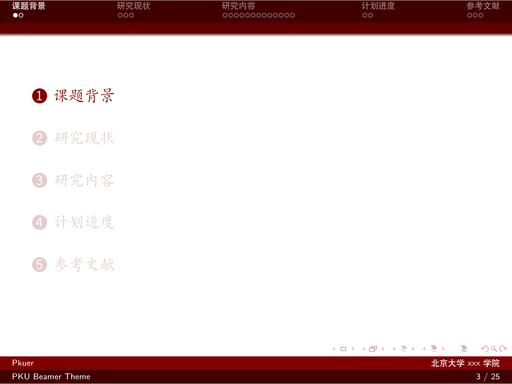<span id="page-2-0"></span>

| 课题背景 | 研究现状 | 研究内容          | 计划进度 | 参考文献 |
|------|------|---------------|------|------|
| ം    | ೦೦೦  | 0000000000000 | oо   | ೦೦೦  |
|      |      |               |      |      |

Pkuer 北京大学 xxx 学院

1 [课题背景](#page-2-0)

2 [研究现状](#page-7-0)

3 [研究内容](#page-10-0)

4 [计划进度](#page-24-0)

5 [参考文献](#page-26-0)

 $\Box \rightarrow \neg \left( \frac{\partial}{\partial \theta} \right) \rightarrow \neg \left( \frac{\partial}{\partial \theta} \right) \rightarrow \neg \left( \frac{\partial}{\partial \theta} \right)$ . [.](#page-28-0)  $2Q$ 

[PKU Beamer Theme](#page-0-0) 3 / 25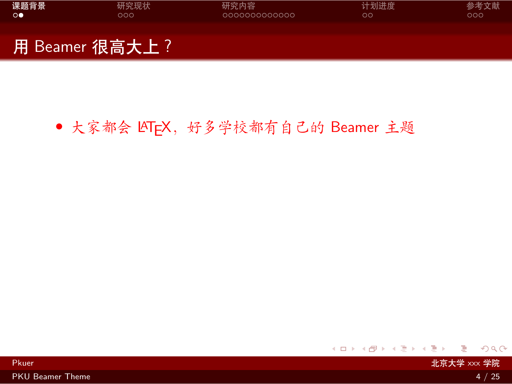<span id="page-3-0"></span>

| 课题背景    | 研究现状           | 研究内容          | 计划进度 | 参考文献 |
|---------|----------------|---------------|------|------|
| $\circ$ | റററ            | 0000000000000 | ററ   | റററ  |
|         | 用 Beamer 很高大上? |               |      |      |

## • 大家都会 LATFX, 好多学校都有自己的 Beamer 主题

- Pkuer - 대통령 XXX 学院 - 대통령 XXX 방법 - 대통령 XXX 방법 - 대통령 XXX 방법 - 대통령 사용행동 - 대통령 XXX <mark>北京大学</mark> XXX <mark>学院</mark>

 $\langle \,\, \Box \,\, \rangle \,\, \langle \,\, \beta \,\, \rangle \,\, \langle \,\, \bar{\gtrless} \,\, \rangle \,\, \langle \,\, \bar{\gtrless} \,\, \rangle \,\, \langle \,\, \bar{\gtrless} \,\, \rangle$  $\equiv$  990

[PKU Beamer Theme](#page-0-0) 4 / 25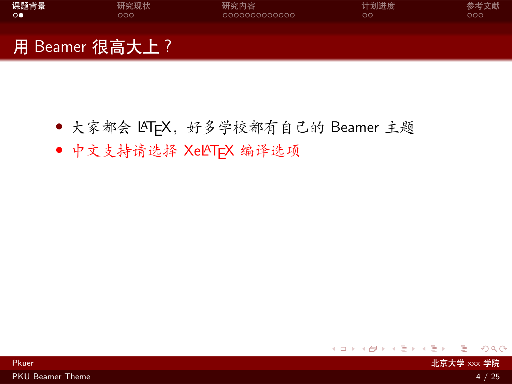<span id="page-4-0"></span>

| 课题背景    | 研究现状           | 研究内容          | 计划进度 | 参考文献 |
|---------|----------------|---------------|------|------|
| $\circ$ | റററ            | 0000000000000 | ററ   | 000  |
|         | 用 Beamer 很高大上? |               |      |      |

- 大家都会 LATFX, 好多学校都有自己的 Beamer 主题
- *•* 中文支持请选择 XeLATEX 编译选项

. [.](#page-3-0) . [.](#page-5-0) . [.](#page-2-0) . [.](#page-3-0) . [.](#page-6-0) . [.](#page-7-0) . [.](#page-1-0) . [.](#page-2-0) . [.](#page-6-0) . [.](#page-7-0) . . . [.](#page-1-0) . [.](#page-2-0) . [.](#page-6-0) . [.](#page-0-0)

[PKU Beamer Theme](#page-0-0) 4 / 25

 $2Q$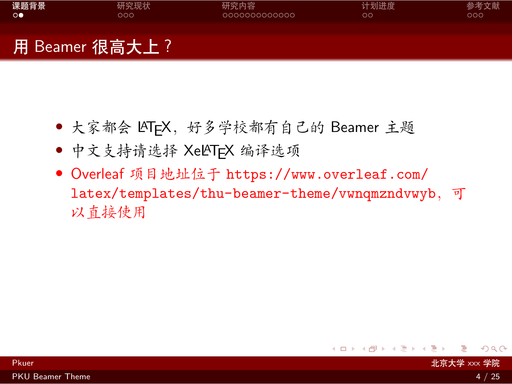<span id="page-5-0"></span>

# 用 Beamer 很高大上?

- 大家都会 LATFX, 好多学校都有自己的 Beamer 主题
- *•* 中文支持请选择 XeLATEX 编译选项
- *•* Overleaf 项目地址位于 [https://www.overleaf.com/](https://www.overleaf.com/latex/templates/thu-beamer-theme/vwnqmzndvwyb) [latex/templates/thu-beamer-theme/vwnqmzndvwyb](https://www.overleaf.com/latex/templates/thu-beamer-theme/vwnqmzndvwyb),可 以直接使用

external web Application Application Application Application Application Application Application Application A<br>- 대통령 XXX 学院

 $2Q$ 

[.](#page-28-0)

 $\Box \rightarrow \neg \leftarrow \overline{\partial} \rightarrow \neg \leftarrow \overline{\exists}$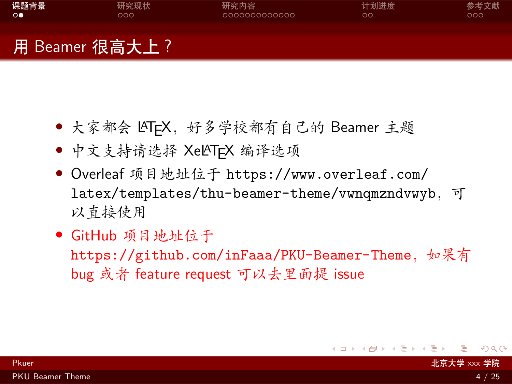<span id="page-6-0"></span>

| 课题背景 | 研究现状 | 研究内容          | 计划进度 | 参考文献 |
|------|------|---------------|------|------|
| ം    | 200  | 0000000000000 | OО   | 000  |
|      |      |               |      |      |
|      |      |               |      |      |

# 用 Beamer 很高大上?

- 大家都会 LATFX, 好多学校都有自己的 Beamer 主题
- *•* 中文支持请选择 XeLATEX 编译选项
- *•* Overleaf 项目地址位于 [https://www.overleaf.com/](https://www.overleaf.com/latex/templates/thu-beamer-theme/vwnqmzndvwyb) [latex/templates/thu-beamer-theme/vwnqmzndvwyb](https://www.overleaf.com/latex/templates/thu-beamer-theme/vwnqmzndvwyb),可 以直接使用
- *•* GitHub 项目地址位于

<https://github.com/inFaaa/PKU-Beamer-Theme>, 如果有 bug 或者 feature request 可以去里面提 issue

[.](#page-28-0)  $\overline{\mathcal{A}}$ 

 $\sigma$  [.](#page-6-0) . . . .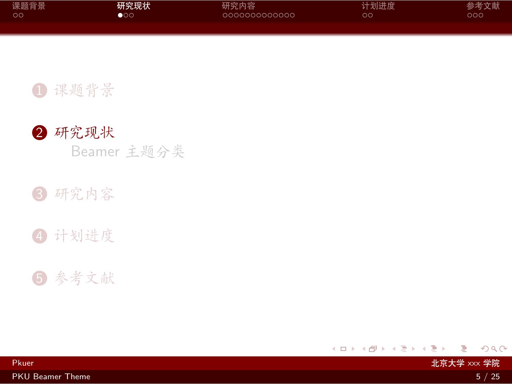<span id="page-7-0"></span>

| 课题背景 | 研究现状                  | 研究内容          | 计划进度 | 参考文献 |
|------|-----------------------|---------------|------|------|
| ററ   | $\bullet \circ \circ$ | 0000000000000 | oс   | ೦೦೦  |
|      |                       |               |      |      |

#### 1 [课题背景](#page-2-0)



Beamer [主题分类](#page-8-0)

### 3 [研究内容](#page-10-0)



# 5 [参考文献](#page-26-0)

 $\Box \rightarrow \neg \left( \frac{\partial}{\partial \theta} \right) \rightarrow \neg \left( \frac{\partial}{\partial \theta} \right) \rightarrow \neg \left( \frac{\partial}{\partial \theta} \right)$ . [.](#page-28-0)  $2Q$ 

Pkuer 北京大学 xxx 学院 [PKU Beamer Theme](#page-0-0) 5 / 25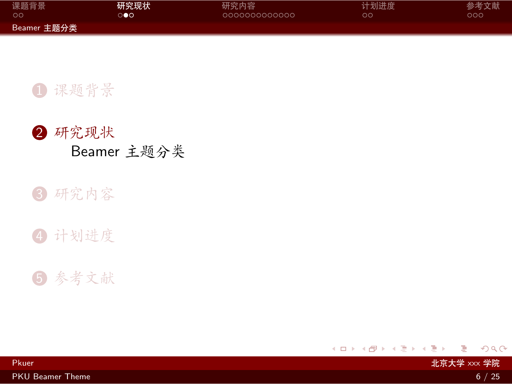<span id="page-8-0"></span>

| 课题背景        | 研究现状 | 研究内容          | 计划进度 | 参考文献 |
|-------------|------|---------------|------|------|
| - ററ        | ൈ    | lanonanananan | oα   | ೦೦೦  |
| Beamer 主题分类 |      |               |      |      |

## 1 [课题背景](#page-2-0)



#### 3 [研究内容](#page-10-0)



# 5 [参考文献](#page-26-0)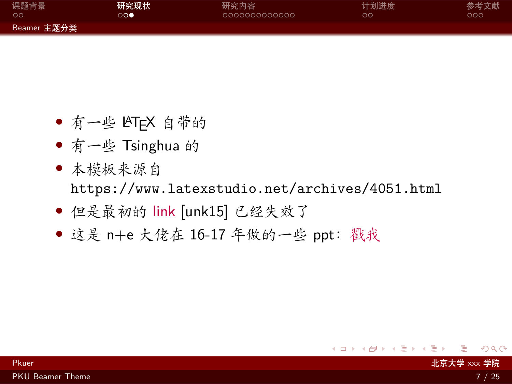<span id="page-9-0"></span>

| 课题背景        | 研究现状 | 研究内容          | 计划进度 | 参考文献 |
|-------------|------|---------------|------|------|
| . ററ        | ം    | 0000000000000 | ററ   | ೦೦೦  |
| Beamer 主题分类 |      |               |      |      |

- *•* 有一些 LATEX 自带的
- *•* 有一些 Tsinghua 的
- *•* 本模板来源自 <https://www.latexstudio.net/archives/4051.html>
- *•* 但是最初的 [link](http://far.tooold.cn/post/latex/beamertsinghua) [\[unk15\]](#page-27-0) 已经失效了
- *•* 这是 n+e 大佬在 16-17 年做的一些 ppt:[戳我](https://github.com/Trinkle23897/oi_slides)

[.](#page-28-0)  $\overline{\mathcal{A}}$ 

 $\Box \rightarrow \neg \leftarrow \overline{\partial} \rightarrow \neg \leftarrow \overline{\exists}$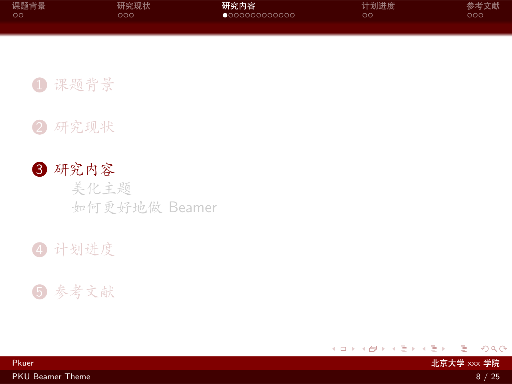<span id="page-10-0"></span>

| 课题背景 | 研究现状 | 研究内容                   | 计划进度 | 参考文献 |
|------|------|------------------------|------|------|
| LOO. | DOO' | $\bullet$ 000000000000 | ററ   | ೦೦೦  |
|      |      |                        |      |      |

Pkuer 北京大学 xxx 学院

1 [课题背景](#page-2-0)

2 [研究现状](#page-7-0)

3 [研究内容](#page-10-0) [美化主题](#page-11-0) [如何更好地做](#page-13-0) Beamer

4 [计划进度](#page-24-0)

5 [参考文献](#page-26-0)

[PKU Beamer Theme](#page-0-0) 8 / 25

 $2Q$ 

. [.](#page-28-0)

 $\Box \rightarrow \neg \left( \frac{\partial}{\partial \theta} \right) \rightarrow \neg \left( \frac{\partial}{\partial \theta} \right) \rightarrow \neg \left( \frac{\partial}{\partial \theta} \right)$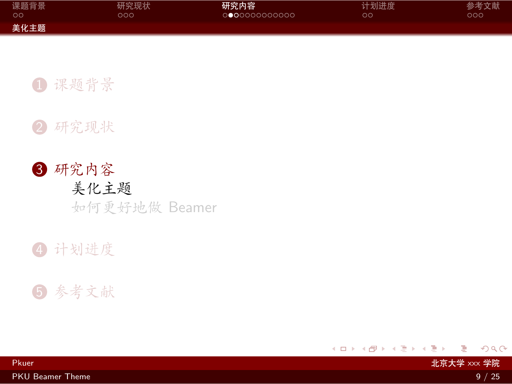<span id="page-11-0"></span>

| 课题背景 | 研究现状 | 研究内容          | 计划进度 | 参考文献 |
|------|------|---------------|------|------|
| - ററ | ລດດ  | 0000000000000 | OС   | ാററ  |
| 美化主题 |      |               |      |      |

1 [课题背景](#page-2-0)



# 3 [研究内容](#page-10-0) [美化主题](#page-11-0) [如何更好地做](#page-13-0) Beamer





 $2Q$ 

 $\Box \rightarrow \neg \left( \frac{\partial}{\partial \theta} \right) \rightarrow \neg \left( \frac{\partial}{\partial \theta} \right) \rightarrow \neg \left( \frac{\partial}{\partial \theta} \right)$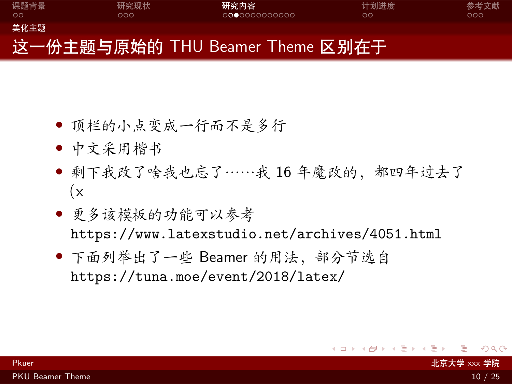<span id="page-12-0"></span>

- *•* 顶栏的小点变成一行而不是多行
- *•* 中文采用楷书
- *•* 剩下我改了啥我也忘了……我 16 年魔改的,都四年过去了  $(x)$
- *•* 更多该模板的功能可以参考 <https://www.latexstudio.net/archives/4051.html>
- *•* 下面列举出了一些 Beamer 的用法,部分节选自 <https://tuna.moe/event/2018/latex/>

. . . .

[.](#page-28-0)

 $\Box \rightarrow \neg \leftarrow \overline{\partial} \rightarrow \neg \leftarrow \overline{\exists}$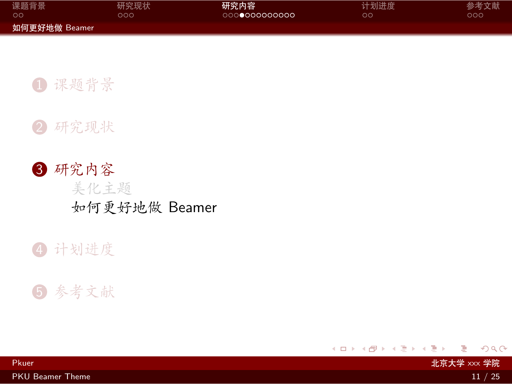<span id="page-13-0"></span>

| 课题背景          | 研究现状 | 研究内容          | 计划进度 | 参考文献 |
|---------------|------|---------------|------|------|
| . ററ          | າດດ  | 0000000000000 | OС   | റററ  |
| 如何更好地做 Beamer |      |               |      |      |

Pkuer 北京大学 xxx 学院

1 [课题背景](#page-2-0)



3 [研究内容](#page-10-0) [美化主题](#page-11-0) [如何更好地做](#page-13-0) Beamer

#### 4 [计划进度](#page-24-0)

#### 5 [参考文献](#page-26-0)

 $2Q$ 

. [.](#page-28-0)

 $\Box \rightarrow \neg \left( \frac{\partial}{\partial \theta} \right) \rightarrow \neg \left( \frac{\partial}{\partial \theta} \right) \rightarrow \neg \left( \frac{\partial}{\partial \theta} \right)$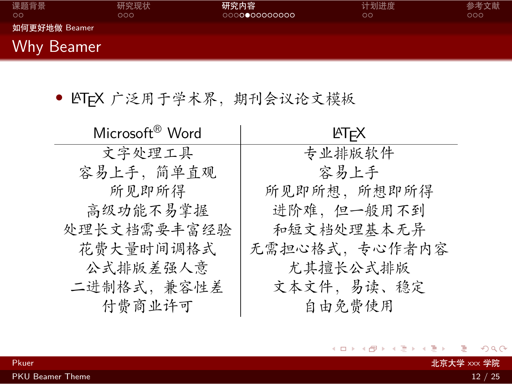<span id="page-14-0"></span>

| 课题背景<br>ററ        | 研究现状<br>000 | 研究内容<br>000000000000 | 计划进度<br>$\circ$ | 参考文献<br>000 |
|-------------------|-------------|----------------------|-----------------|-------------|
| 如何更好地做 Beamer     |             |                      |                 |             |
| <b>Why Beamer</b> |             |                      |                 |             |

• LATEX 广泛用于学术界, 期刊会议论文模板

| Microsoft <sup>®</sup> Word | <b>ATFX</b>   |
|-----------------------------|---------------|
| 文字处理工具                      | 专业排版软件        |
| 容易上手, 简单直观                  | 容易上手          |
| 所见即所得                       | 所见即所想, 所想即所得  |
| 高级功能不易掌握                    | 进阶难,但一般用不到    |
| 处理长文档需要丰富经验                 | 和短文档处理基本无异    |
| 花费大量时间调格式                   | 无需担心格式,专心作者内容 |
| 公式排版差强人意                    | 尤其擅长公式排版      |
| 二进制格式, 兼容性差                 | 文本文件,易读、稳定    |
| 付费商业许可                      | 自由免费使用        |

- Pkuer - インディング・ディー - インディング・ディー - インディング・ディー - インディング・ディー - 北京大学 xxx 学院

 $\overline{a}$ 

 $2Q$ 

. [.](#page-28-0)

 $\iff \begin{aligned} \langle \begin{array}{c} \alpha \end{array} \rangle \rightarrow \langle \begin{array}{c} \alpha \end{array} \rangle \rightarrow \langle \begin{array}{c} \alpha \end{array} \rangle \rightarrow \langle \begin{array}{c} \alpha \end{array} \rangle \rightarrow \langle \begin{array}{c} \alpha \end{array} \rangle \rightarrow \langle \begin{array}{c} \alpha \end{array} \rangle \rightarrow \langle \begin{array}{c} \alpha \end{array} \rangle \rightarrow \langle \begin{array}{c} \alpha \end{array} \rangle \rightarrow \langle \begin{array}{c} \alpha \end{array} \rangle \rightarrow \langle \begin{array}{c} \alpha \end{array} \rangle \rightarrow \langle \begin{array}{c} \alpha \end$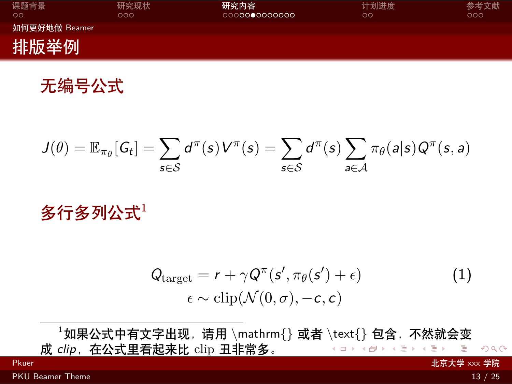<span id="page-15-0"></span>

| 课题背景<br>$\circ$ | 研究现状<br>೦೦೦ | 研究内容<br>0000000000000 | 计划进度<br>$\circ$ | 参考文献<br>000 |
|-----------------|-------------|-----------------------|-----------------|-------------|
| 如何更好地做 Beamer   |             |                       |                 |             |
| 排版举例            |             |                       |                 |             |

无编号公式

$$
J(\theta) = \mathbb{E}_{\pi_{\theta}}[G_t] = \sum_{s \in \mathcal{S}} d^{\pi}(s) V^{\pi}(s) = \sum_{s \in \mathcal{S}} d^{\pi}(s) \sum_{a \in \mathcal{A}} \pi_{\theta}(a|s) Q^{\pi}(s, a)
$$

多行多列公式1

$$
Qtarget = r + \gamma Q\pi(s', \pi_{\theta}(s') + \epsilon) \n\epsilon \sim \text{clip}(\mathcal{N}(0, \sigma), -c, c)
$$
\n(1)

. [.](#page-15-0) [.](#page-28-0)  $2Q$ <sup>1</sup>如果公式中有文字出现,请用 *\*mathrm{} 或者 *\*text{} 包含,不然就会变 成 clip, 在公式里看起来比 clip 丑非常多。 Pkuer 北京大学 xxx 学院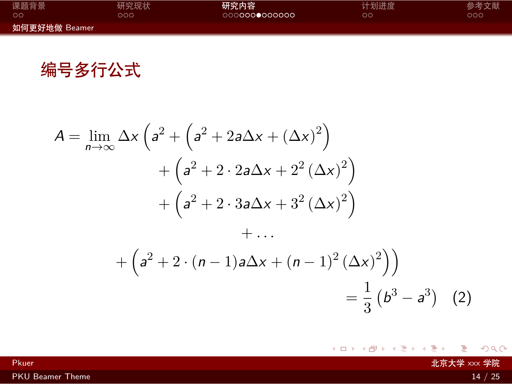<span id="page-16-0"></span>

| 课题背景          | 研究现状 | 研究内容          | 计划进度 | 参考文献 |
|---------------|------|---------------|------|------|
| ററ            | າດດ  | 0000000000000 | OС   | ാററ  |
| 如何更好地做 Beamer |      |               |      |      |

编号多行公式

$$
A = \lim_{n \to \infty} \Delta x \left( a^2 + \left( a^2 + 2a\Delta x + (\Delta x)^2 \right) + \left( a^2 + 2 \cdot 2a\Delta x + 2^2 (\Delta x)^2 \right) + \left( a^2 + 2 \cdot 3a\Delta x + 3^2 (\Delta x)^2 \right) + \dots
$$

$$
+ \left( a^2 + 2 \cdot (n-1)a\Delta x + (n-1)^2 (\Delta x)^2 \right) = \frac{1}{3} \left( b^3 - a^3 \right) (2)
$$

. [.](#page-28-0) external home with the control of the control of the control of the control of the control of the control of t<br>그러나 아이들은 아이들은 아이들의 사용하는 것은 아이들의 사용하는 것은 아이들의 사용하는 것은 아이들의 사용하는 것은 아이들의 사용하는 것은 아이들의 사용하는 것은 아이들의 사용하는 것은 아이들

 $\left\langle \begin{array}{c} 1 \end{array} \right\rangle \rightarrow \left\langle \begin{array}{c} 0 \end{array} \right\rangle + \left\langle \begin{array}{c} 1 \end{array} \right\rangle + \left\langle \begin{array}{c} 1 \end{array} \right\rangle + \left\langle \begin{array}{c} 1 \end{array} \right\rangle$ 

[PKU Beamer Theme](#page-0-0) 2012 12:00 12:00 12:00 12:00 12:00 12:00 12:00 12:00 12:00 12:00 12:00 12:00 12:00 12:00 12:00 12:00 12:00 12:00 12:00 12:00 12:00 12:00 12:00 12:00 12:00 12:00 12:00 12:00 12:00 12:00 12:00 12:00 12:00 12

 $2Q$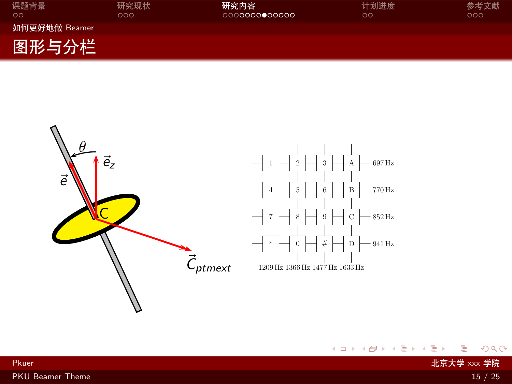<span id="page-17-0"></span>

| 课题背景<br>$\circ$ | 研究现状<br>೦೦೦ | 研究内容<br>0000000000000 | 计划进度<br>OΟ | 参考文献<br>೦೦೦ |
|-----------------|-------------|-----------------------|------------|-------------|
| 如何更好地做 Beamer   |             |                       |            |             |
| 图形与分栏           |             |                       |            |             |



 $\langle \,\, \Box \,\, \rangle \,\, \langle \,\, \beta \,\, \rangle \,\, \langle \,\, \bar{\gtrless} \,\, \rangle \,\, \langle \,\, \bar{\gtrless} \,\, \rangle \,\, \langle \,\, \bar{\gtrless} \,\, \rangle$ 

 $2Q$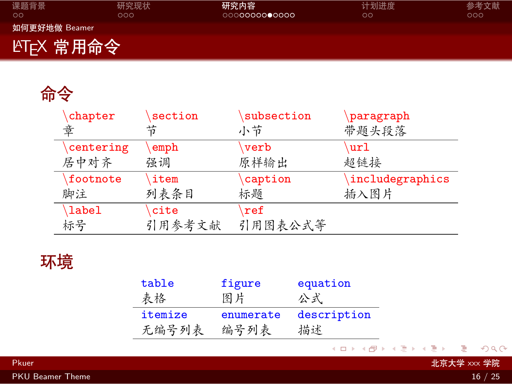<span id="page-18-0"></span>

| 课题背景<br>$\circ$         | 研究现状<br>೦೦೦ | 研究内容<br>0000000000000 | 计划进度<br>$\circ$ | 参考文献<br>000 |
|-------------------------|-------------|-----------------------|-----------------|-------------|
| 如何更好地做 Beamer           |             |                       |                 |             |
| LAT <sub>E</sub> X 常用命令 |             |                       |                 |             |

# 命令

| chapter   | section | subsection          | paragraph       |
|-----------|---------|---------------------|-----------------|
| 童         | 节       | 小节                  | 带题头段落           |
| centering | emph    | verb                | url             |
| 居中对齐      | 强调      | 原样输出                | 超链接             |
| footnote  | item    | caption             | includegraphics |
| 脚注        | 列表条目    | 标题                  | 插入图片            |
| \label    | cite    | $\sqrt{\text{ref}}$ |                 |
| 标号        | 引用参考文献  | 引用图表公式等             |                 |

# 环境

| table   | figure    | equation    |
|---------|-----------|-------------|
| 表格      | 图片        | 公式          |
| itemize | enumerate | description |
| 无编号列表   | 编号列表      | 描述          |

 $\langle \,\, \Box \,\, \rangle \,\, \langle \,\, \beta \,\, \rangle \,\, \langle \,\, \bar{\gtrless} \,\, \rangle \,\, \langle \,\, \bar{\gtrless} \,\, \rangle \,\, \langle \,\, \bar{\gtrless} \,\, \rangle$ 

 $\equiv$  990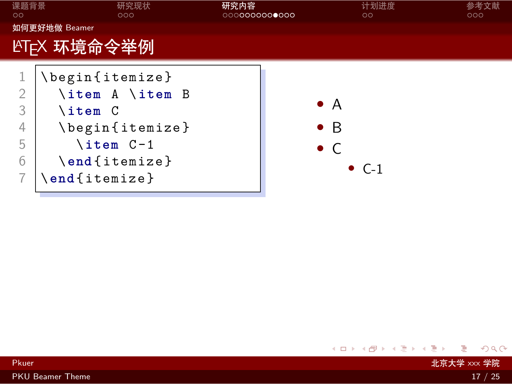<span id="page-19-0"></span>

| 课题背景<br>$\circ$                    | 研究现状<br>000                                                                                                                       | 研究内容<br>0000000000000 |                                           | 计划进度<br>$\circ$ | 参考文献<br>000 |
|------------------------------------|-----------------------------------------------------------------------------------------------------------------------------------|-----------------------|-------------------------------------------|-----------------|-------------|
|                                    | 如何更好地做 Beamer                                                                                                                     |                       |                                           |                 |             |
|                                    | LYT <sub>E</sub> X 环境命令举例                                                                                                         |                       |                                           |                 |             |
| $\overline{2}$<br>3<br>4<br>5<br>6 | \begin{itemize}<br>\item A \item B<br>$\iota$ item $C$<br>\begin{itemize}<br>$\iota$ item $C-1$<br>\end{itemize}<br>\end{itemize} |                       | $\bullet$ A<br>$\bullet$ B<br>$\bullet$ C | $\bullet$ C-1   |             |

Pkuer 2008年 - 대중 대통령 XXX 学院 - 대중 대통령 XXX 방법 - 대중 대통령 XXX <mark>北京大学 xxx 学院</mark>

[PKU Beamer Theme](#page-0-0) 17 / 25

. . [.](#page-18-0) . [.](#page-20-0) . [.](#page-18-0) . [.](#page-19-0) . [.](#page-20-0) . [.](#page-21-0) . [.](#page-12-0) . [.](#page-13-0) . [.](#page-23-0) . [.](#page-24-0) . . . [.](#page-9-0) . [.](#page-10-0) . [.](#page-23-0) . [.](#page-0-0) . [.](#page-28-0) . . . . . . .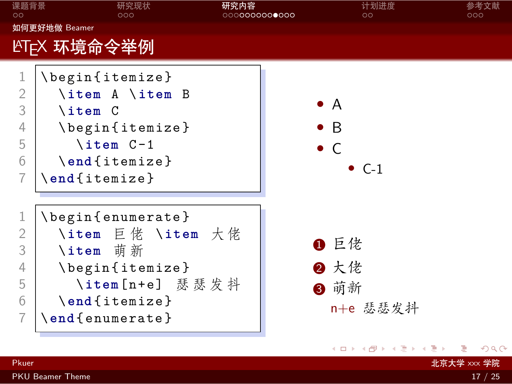<span id="page-20-0"></span>

| 课题背景<br>$\circ$                                                    | 研究现状<br>000                                                                                                                            | 研究内容<br>000000000000 | 计划进度<br>$\circ$                                            | 参考文献<br>000 |
|--------------------------------------------------------------------|----------------------------------------------------------------------------------------------------------------------------------------|----------------------|------------------------------------------------------------|-------------|
|                                                                    | 如何更好地做 Beamer                                                                                                                          |                      |                                                            |             |
|                                                                    | LYTFX 环境命令举例                                                                                                                           |                      |                                                            |             |
| $\mathbf{1}$<br>$\mathbf{2}$<br>3<br>$\overline{4}$<br>5<br>6<br>7 | \begin{itemize}<br>\item A \item B<br>\item C<br>\begin{itemize}<br>\item C-1<br>$\end{figure}$<br>$\end{figure}$                      |                      | $\bullet$ A<br>$\bullet$ B<br>$\bullet$ C<br>$\bullet$ C-1 |             |
| 1<br>$\overline{2}$<br>3<br>4<br>5<br>6<br>7                       | \begin{enumerate}<br>\item 巨佬 \item 大佬<br>\item 萌新<br>\begin{itemize}<br>\item[n+e] 瑟瑟发抖<br>$\end{figure}$<br>$\end{math}$ (enumerate) |                      | ❶ 巨佬<br>2 大佬<br>8 萌新<br>n+e 瑟瑟发抖                           |             |
|                                                                    |                                                                                                                                        |                      | K ロ ▶ K 倒 ▶ K 듣 ▶ K 듣 ▶ │ 듣 !                              | 2Q          |
| Pkuer                                                              |                                                                                                                                        |                      | 北京大学 xxx 学院                                                |             |
|                                                                    | <b>PKU</b> Beamer Theme                                                                                                                |                      |                                                            | 17 / 25     |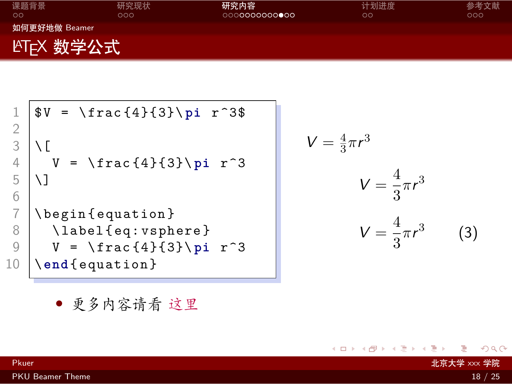<span id="page-21-0"></span>

| 课题背景<br>$\circ$         | 研究现状<br>000 | 研究内容<br>000 <b>0000000000</b> | 计划进度          | 参考文献<br>000 |
|-------------------------|-------------|-------------------------------|---------------|-------------|
| 如何更好地做 Beamer           |             |                               | $\circ \circ$ |             |
|                         |             |                               |               |             |
| LAT <sub>E</sub> X 数学公式 |             |                               |               |             |

1 \$ V = \ frac {4}{3}\ **pi** r ^3\$ 2 3 \[ 4 V = \ frac {4}{3}\ **pi** r ^3 5 \] 6 7 \ begin { equation } 8 \ label { eq : vsphere } 9 V = \ frac {4}{3}\ **pi** r ^3 10 \ **end** { equation }

$$
V = \frac{4}{3}\pi r^3
$$

$$
V = \frac{4}{3}\pi r^3
$$

$$
V = \frac{4}{3}\pi r^3
$$
(3)

<span id="page-21-1"></span> $\iff \begin{aligned} \langle \alpha \rangle \rangle \rightarrow \langle \alpha \rangle \rightarrow \langle \alpha \rangle \rightarrow \langle \alpha \rangle \rightarrow \langle \alpha \rangle \rightarrow \langle \alpha \rangle \rightarrow \langle \alpha \rangle \rightarrow \langle \alpha \rangle \rightarrow \langle \alpha \rangle \rightarrow \langle \alpha \rangle \rightarrow \langle \alpha \rangle \rightarrow \langle \alpha \rangle \rightarrow \langle \alpha \rangle \rightarrow \langle \alpha \rangle \rightarrow \langle \alpha \rangle \rightarrow \langle \alpha \rangle \rightarrow \langle \alpha \rangle \rightarrow \langle \alpha \rangle \rightarrow \langle \alpha \rangle \rightarrow \langle \alpha \rangle \rightarrow \langle \alpha \rangle \rightarrow \langle \alpha \rangle \rightarrow \langle \alpha \rangle \rightarrow \langle \alpha \rangle \rightarrow \langle \alpha \rangle \rightarrow \langle \alpha \rangle \rightarrow \langle \$ 

*•* 更多内容请看 [这里](https://zh.wikipedia.org/wiki/Help:数学公式)

Pkuer 北京大学 xxx 学院

 $2Q$ 

. [.](#page-28-0)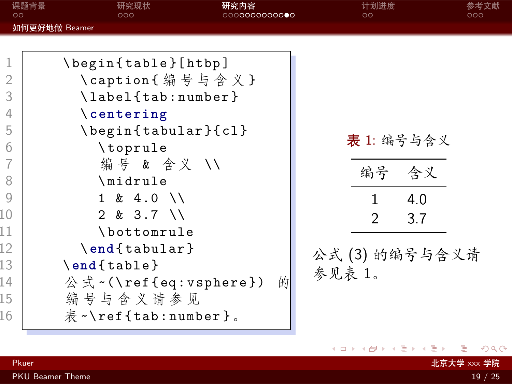<span id="page-22-0"></span>

| 如何更好地做 Beamer<br>1<br>\begin{table}[htbp]<br>\caption{编号与含义}<br>2<br>3<br>\label{tab:number}<br>4<br>$\setminus$ centering<br>5<br>\begin{tabular}{cl}<br>表 1: 编号与含义<br>6<br>\toprule<br>编号 & 含义 //<br>编号 含义<br>8<br>\midrule | $\circ$ | 课题背景<br>研究内容<br>研究现状<br>000<br>0000000000000 | 计划进度<br>$\circ$ | 参考文献<br>000 |
|-------------------------------------------------------------------------------------------------------------------------------------------------------------------------------------------------------------------------------|---------|----------------------------------------------|-----------------|-------------|
|                                                                                                                                                                                                                               |         |                                              |                 |             |
| 4.0<br>1<br>10<br>$2 & 3.7$ \\<br>$\mathcal{P}$<br>3.7<br>11<br>\bottomrule<br>12<br>\end{tabular}<br>公式(3)的编号与含义请<br>13<br>$\end{figure}$<br>参见表 1。<br>14<br>$\mathbb{A}$ $\mathbb{R}$ $\sim$ (\ref{eq:vsphere})<br>的        | 9       | $1 \& 4.0 \ \sqrt{}$                         |                 |             |

 $\equiv$  990

<span id="page-22-1"></span> $\langle \,\, \Box \,\, \rangle \,\, \langle \,\, \beta \,\, \rangle \,\, \langle \,\, \bar{\gtrless} \,\, \rangle \,\, \langle \,\, \bar{\gtrless} \,\, \rangle \,\, \langle \,\, \bar{\gtrless} \,\, \rangle$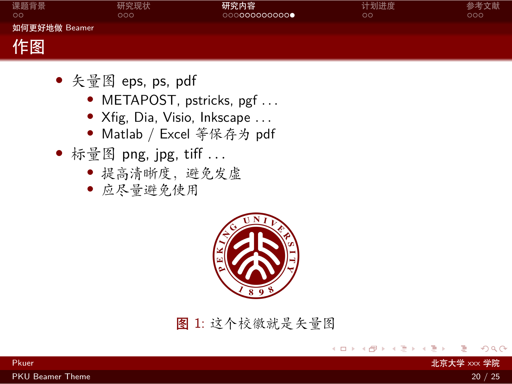<span id="page-23-0"></span>

| 课题背景<br>$\circ$ | 研究现状<br>000 | 研究内容<br>000000000000 | 计划进度<br>$\circ$ | 参考文献<br>000 |
|-----------------|-------------|----------------------|-----------------|-------------|
| 如何更好地做 Beamer   |             |                      |                 |             |
| 作图              |             |                      |                 |             |

- *•* 矢量图 eps, ps, pdf
	- *•* METAPOST, pstricks, pgf *. . .*
	- *•* Xfig, Dia, Visio, Inkscape *. . .*
	- *•* Matlab / Excel 等保存为 pdf
- *•* 标量图 png, jpg, tiff *. . .*
	- *•* 提高清晰度,避免发虚
	- *•* 应尽量避免使用



图 1: 这个校徽就是矢量图

external web Application Application Application Application Application Application Application Application A<br>- 대통령 XXX 学院

 $\Box$ ) [.](#page-23-0) . [.](#page-28-0)  $\overline{\mathcal{A}}$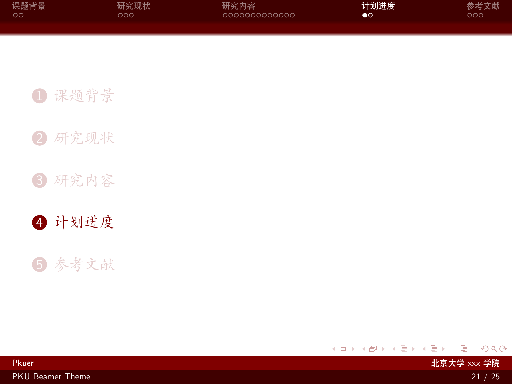<span id="page-24-0"></span>

| 课题背景 | 研究现状 | 研究内容          | 计划进度           | 参考文献 |
|------|------|---------------|----------------|------|
| - ററ | റററ  | 0000000000000 | $\bullet\circ$ | ೦೦೦  |
|      |      |               |                |      |

Pkuer 北京大学 xxx 学院

1 [课题背景](#page-2-0)

2 [研究现状](#page-7-0)

3 [研究内容](#page-10-0)

4 [计划进度](#page-24-0)

5 [参考文献](#page-26-0)

. [.](#page-23-0) . [.](#page-25-0) . [.](#page-23-0) . [.](#page-24-0) . [.](#page-24-0) . [.](#page-25-0) . [.](#page-23-0) . [.](#page-24-0) . [.](#page-25-0) . [.](#page-26-0) . . . [.](#page-23-0) . [.](#page-24-0) . [.](#page-28-0)  $2Q$ 

[PKU Beamer Theme](#page-0-0) 21 / 25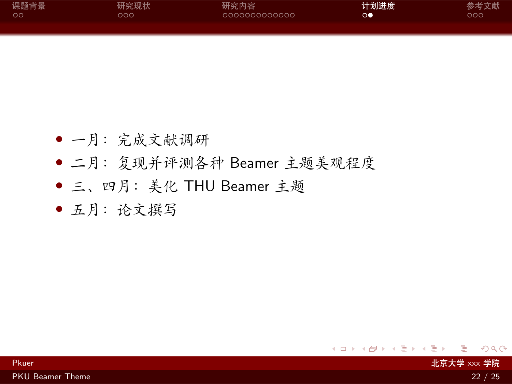<span id="page-25-0"></span>

| 课题背景    | 研究现状 | 研究内容          | 计划进度            | 参考文献 |
|---------|------|---------------|-----------------|------|
| $\circ$ | ລດດ  | 0000000000000 | $\circ \bullet$ | ၁ဝဝ  |
|         |      |               |                 |      |

- Pkuer - 대통령 XXX 学院 - 대통령 XXX 방법 - 대통령 XXX 방법 - 대통령 XXX 방법 - 대통령 사용행동 - 대통령 XXX <mark>北京大学</mark> XXX <mark>学院</mark>

- *•* 一月:完成文献调研
- *•* 二月:复现并评测各种 Beamer 主题美观程度
- *•* 三、四月:美化 THU Beamer 主题
- *•* 五月:论文撰写

 $2Q$ 

. [.](#page-28-0)

. [.](#page-24-0) . [.](#page-26-0) . [.](#page-24-0) . [.](#page-25-0) . [.](#page-25-0) . [.](#page-26-0) . [.](#page-23-0) . [.](#page-24-0) . [.](#page-25-0) . [.](#page-26-0) . . . [.](#page-23-0) . [.](#page-24-0)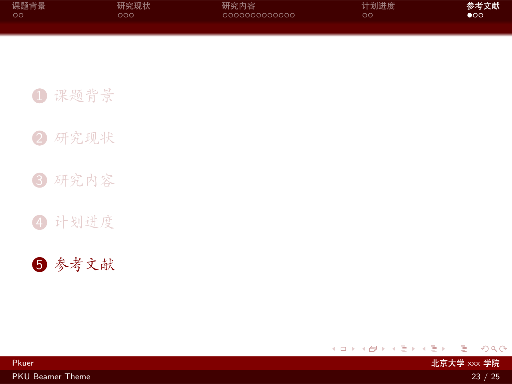<span id="page-26-0"></span>

| 课题背景 | 研究现状 | 研究内容          | 计划进度 | 参考文献 |
|------|------|---------------|------|------|
| ം റ  | റററ  | 0000000000000 | OΟ   | ററ   |
|      |      |               |      |      |

Pkuer 北京大学 xxx 学院

1 [课题背景](#page-2-0)

2 [研究现状](#page-7-0)

3 [研究内容](#page-10-0)

4 [计划进度](#page-24-0)



 $\Box \rightarrow \neg \left( \frac{\partial}{\partial \theta} \right) \rightarrow \neg \left( \frac{\partial}{\partial \theta} \right) \rightarrow \neg \left( \frac{\partial}{\partial \theta} \right)$ . [.](#page-28-0)  $2Q$ 

[PKU Beamer Theme](#page-0-0) 23 / 25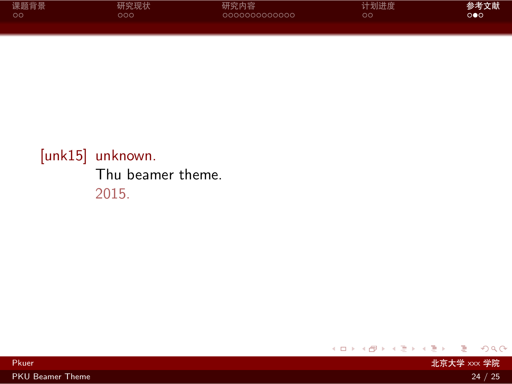<span id="page-27-1"></span>

| 课题背景 | 研究现状 | 研究内容          | 计划进度 | 参考文献                  |
|------|------|---------------|------|-----------------------|
| . ററ | റററ  | 0000000000000 | ററ   | $\circ \bullet \circ$ |
|      |      |               |      |                       |

## <span id="page-27-0"></span>[unk15] unknown. Thu beamer theme. 2015.

 $2Q$